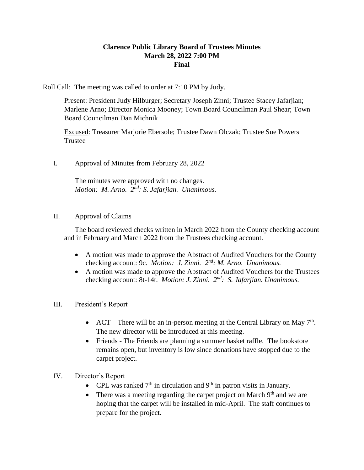## **Clarence Public Library Board of Trustees Minutes March 28, 2022 7:00 PM Final**

Roll Call: The meeting was called to order at 7:10 PM by Judy.

Present: President Judy Hilburger; Secretary Joseph Zinni; Trustee Stacey Jafarjian; Marlene Arno; Director Monica Mooney; Town Board Councilman Paul Shear; Town Board Councilman Dan Michnik

Excused: Treasurer Marjorie Ebersole; Trustee Dawn Olczak; Trustee Sue Powers Trustee

I. Approval of Minutes from February 28, 2022

The minutes were approved with no changes. Motion: M. Arno. 2<sup>nd</sup>: S. Jafarjian. Unanimous.

II. Approval of Claims

The board reviewed checks written in March 2022 from the County checking account and in February and March 2022 from the Trustees checking account.

- A motion was made to approve the Abstract of Audited Vouchers for the County checking account: 9c. *Motion: J. Zinni. 2<sup>nd</sup>: M. Arno. Unanimous.*
- A motion was made to approve the Abstract of Audited Vouchers for the Trustees checking account: 8t-14t. *Motion: J. Zinni. 2<sup>nd</sup>: S. Jafarjian. Unanimous.*
- III. President's Report
	- ACT There will be an in-person meeting at the Central Library on May  $7<sup>th</sup>$ . The new director will be introduced at this meeting.
	- Friends The Friends are planning a summer basket raffle. The bookstore remains open, but inventory is low since donations have stopped due to the carpet project.
- IV. Director's Report
	- CPL was ranked  $7<sup>th</sup>$  in circulation and  $9<sup>th</sup>$  in patron visits in January.
	- There was a meeting regarding the carpet project on March  $9<sup>th</sup>$  and we are hoping that the carpet will be installed in mid-April. The staff continues to prepare for the project.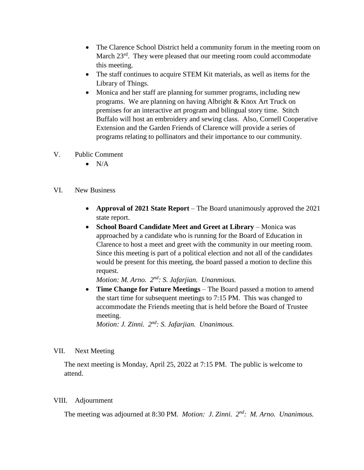- The Clarence School District held a community forum in the meeting room on March 23<sup>rd</sup>. They were pleased that our meeting room could accommodate this meeting.
- The staff continues to acquire STEM Kit materials, as well as items for the Library of Things.
- Monica and her staff are planning for summer programs, including new programs. We are planning on having Albright & Knox Art Truck on premises for an interactive art program and bilingual story time. Stitch Buffalo will host an embroidery and sewing class. Also, Cornell Cooperative Extension and the Garden Friends of Clarence will provide a series of programs relating to pollinators and their importance to our community.
- V. Public Comment
	- $\bullet$  N/A
- VI. New Business
	- **Approval of 2021 State Report** The Board unanimously approved the 2021 state report.
	- **School Board Candidate Meet and Greet at Library Monica was** approached by a candidate who is running for the Board of Education in Clarence to host a meet and greet with the community in our meeting room. Since this meeting is part of a political election and not all of the candidates would be present for this meeting, the board passed a motion to decline this request.

*Motion: M. Arno. 2nd: S. Jafarjian. Unanmious.*

 **Time Change for Future Meetings** – The Board passed a motion to amend the start time for subsequent meetings to 7:15 PM. This was changed to accommodate the Friends meeting that is held before the Board of Trustee meeting.

*Motion: J. Zinni. 2nd: S. Jafarjian. Unanimous.*

## VII. Next Meeting

The next meeting is Monday, April 25, 2022 at 7:15 PM. The public is welcome to attend.

## VIII. Adjournment

The meeting was adjourned at 8:30 PM. *Motion: J. Zinni. 2nd: M. Arno. Unanimous.*